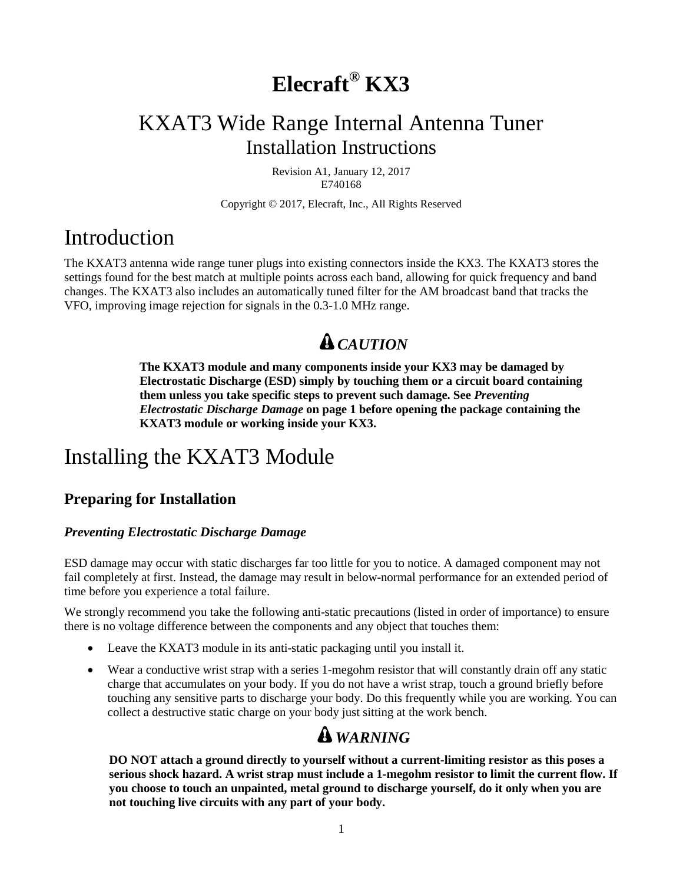# **Elecraft® KX3**

## KXAT3 Wide Range Internal Antenna Tuner Installation Instructions

Revision A1, January 12, 2017 E740168

Copyright © 2017, Elecraft, Inc., All Rights Reserved

## Introduction

The KXAT3 antenna wide range tuner plugs into existing connectors inside the KX3. The KXAT3 stores the settings found for the best match at multiple points across each band, allowing for quick frequency and band changes. The KXAT3 also includes an automatically tuned filter for the AM broadcast band that tracks the VFO, improving image rejection for signals in the 0.3-1.0 MHz range.

## *CAUTION*

**The KXAT3 module and many components inside your KX3 may be damaged by Electrostatic Discharge (ESD) simply by touching them or a circuit board containing them unless you take specific steps to prevent such damage. See** *Preventing Electrostatic Discharge Damage* **on pag[e 1](#page-0-0) before opening the package containing the KXAT3 module or working inside your KX3.** 

## <span id="page-0-1"></span>Installing the KXAT3 Module

### **Preparing for Installation**

#### <span id="page-0-0"></span>*Preventing Electrostatic Discharge Damage*

ESD damage may occur with static discharges far too little for you to notice. A damaged component may not fail completely at first. Instead, the damage may result in below-normal performance for an extended period of time before you experience a total failure.

We strongly recommend you take the following anti-static precautions (listed in order of importance) to ensure there is no voltage difference between the components and any object that touches them:

- Leave the KXAT3 module in its anti-static packaging until you install it.
- Wear a conductive wrist strap with a series 1-megohm resistor that will constantly drain off any static charge that accumulates on your body. If you do not have a wrist strap, touch a ground briefly before touching any sensitive parts to discharge your body. Do this frequently while you are working. You can collect a destructive static charge on your body just sitting at the work bench.

## *WARNING*

**DO NOT attach a ground directly to yourself without a current-limiting resistor as this poses a serious shock hazard. A wrist strap must include a 1-megohm resistor to limit the current flow. If you choose to touch an unpainted, metal ground to discharge yourself, do it only when you are not touching live circuits with any part of your body.**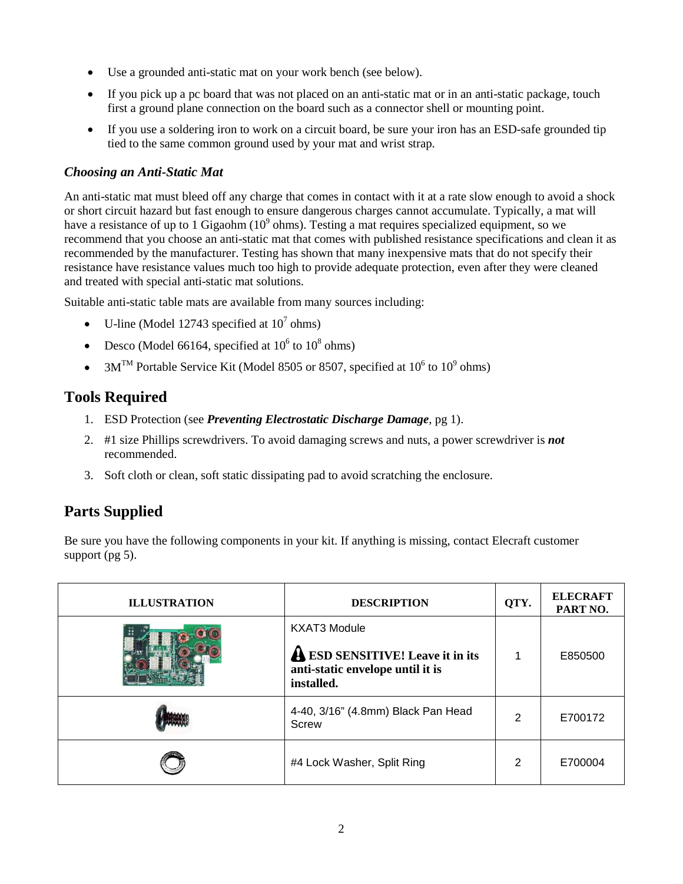- Use a grounded anti-static mat on your work bench (see below).
- If you pick up a pc board that was not placed on an anti-static mat or in an anti-static package, touch first a ground plane connection on the board such as a connector shell or mounting point.
- If you use a soldering iron to work on a circuit board, be sure your iron has an ESD-safe grounded tip tied to the same common ground used by your mat and wrist strap.

#### *Choosing an Anti-Static Mat*

An anti-static mat must bleed off any charge that comes in contact with it at a rate slow enough to avoid a shock or short circuit hazard but fast enough to ensure dangerous charges cannot accumulate. Typically, a mat will have a resistance of up to 1 Gigaohm  $(10^9 \text{ ohms})$ . Testing a mat requires specialized equipment, so we recommend that you choose an anti-static mat that comes with published resistance specifications and clean it as recommended by the manufacturer. Testing has shown that many inexpensive mats that do not specify their resistance have resistance values much too high to provide adequate protection, even after they were cleaned and treated with special anti-static mat solutions.

Suitable anti-static table mats are available from many sources including:

- U-line (Model 12743 specified at  $10^7$  ohms)
- Desco (Model 66164, specified at  $10^6$  to  $10^8$  ohms)
- 3 $M^{TM}$  Portable Service Kit (Model 8505 or 8507, specified at 10<sup>6</sup> to 10<sup>9</sup> ohms)

### **Tools Required**

- 1. ESD Protection (see *Preventing Electrostatic Discharge Damage*, p[g 1\)](#page-0-1).
- 2. #1 size Phillips screwdrivers. To avoid damaging screws and nuts, a power screwdriver is *not*  recommended.
- 3. Soft cloth or clean, soft static dissipating pad to avoid scratching the enclosure.

### **Parts Supplied**

Be sure you have the following components in your kit. If anything is missing, contact Elecraft customer support (pg [5\)](#page-3-0).

| <b>ILLUSTRATION</b> | <b>DESCRIPTION</b>                                                                                               | QTY. | <b>ELECRAFT</b><br>PART NO. |
|---------------------|------------------------------------------------------------------------------------------------------------------|------|-----------------------------|
|                     | <b>KXAT3 Module</b><br><b>A ESD SENSITIVE!</b> Leave it in its<br>anti-static envelope until it is<br>installed. |      | E850500                     |
|                     | 4-40, 3/16" (4.8mm) Black Pan Head<br>Screw                                                                      | 2    | E700172                     |
|                     | #4 Lock Washer, Split Ring                                                                                       | 2    | E700004                     |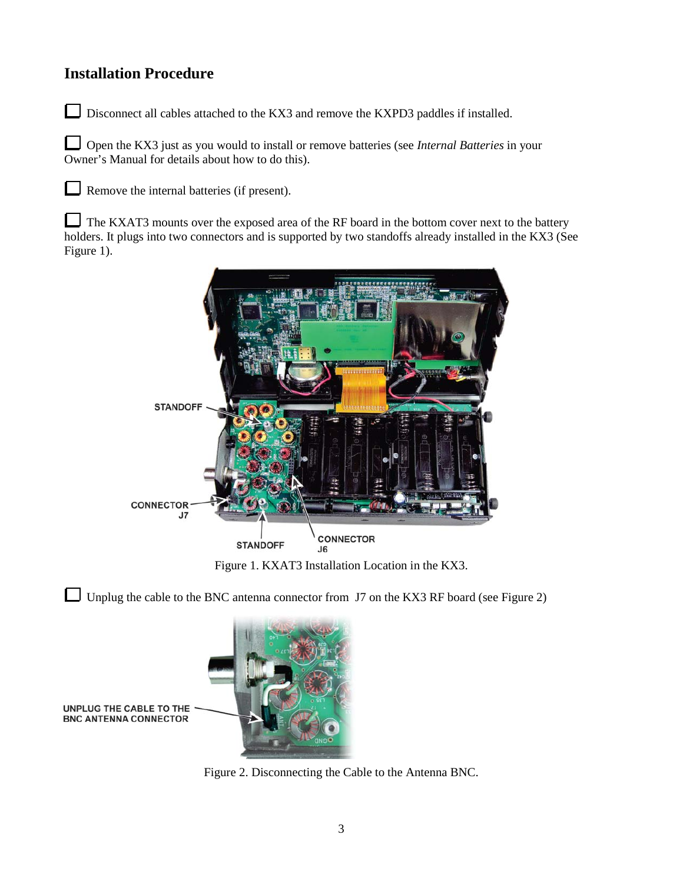### **Installation Procedure**

L

 $\Box$ Disconnect all cables attached to the KX3 and remove the KXPD3 paddles if installed.

L Open the KX3 just as you would to install or remove batteries (see *Internal Batteries* in your Owner's Manual for details about how to do this).

Remove the internal batteries (if present).

L The KXAT3 mounts over the exposed area of the RF board in the bottom cover next to the battery holders. It plugs into two connectors and is supported by two standoffs already installed in the KX3 (See [Figure 1\)](#page-2-0).



Figure 1. KXAT3 Installation Location in the KX3.

<span id="page-2-0"></span>Unplug the cable to the BNC antenna connector from J7 on the KX3 RF board (see [Figure 2\)](#page-2-1)

<span id="page-2-1"></span>

Figure 2. Disconnecting the Cable to the Antenna BNC.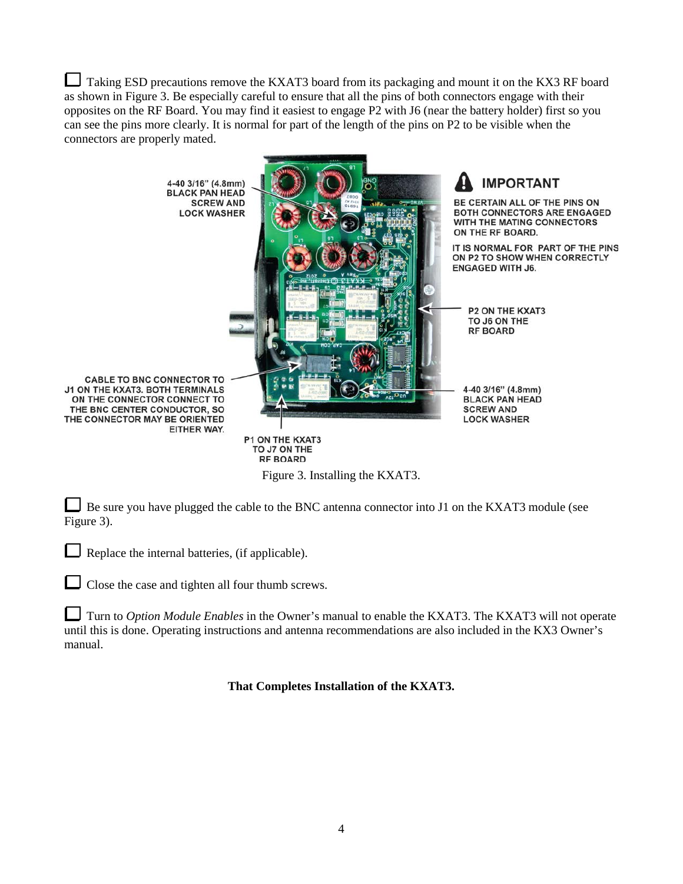Taking ESD precautions remove the KXAT3 board from its packaging and mount it on the KX3 RF board as shown in [Figure 3.](#page-3-1) Be especially careful to ensure that all the pins of both connectors engage with their opposites on the RF Board. You may find it easiest to engage P2 with J6 (near the battery holder) first so you can see the pins more clearly. It is normal for part of the length of the pins on P2 to be visible when the connectors are properly mated.



Figure 3. Installing the KXAT3.

<span id="page-3-1"></span>Be sure you have plugged the cable to the BNC antenna connector into J1 on the KXAT3 module (see [Figure 3\)](#page-3-1).

 $\mathbf{I}$ Replace the internal batteries, (if applicable).

Close the case and tighten all four thumb screws.

<span id="page-3-0"></span>Turn to *Option Module Enables* in the Owner's manual to enable the KXAT3. The KXAT3 will not operate until this is done. Operating instructions and antenna recommendations are also included in the KX3 Owner's manual.

**That Completes Installation of the KXAT3.**